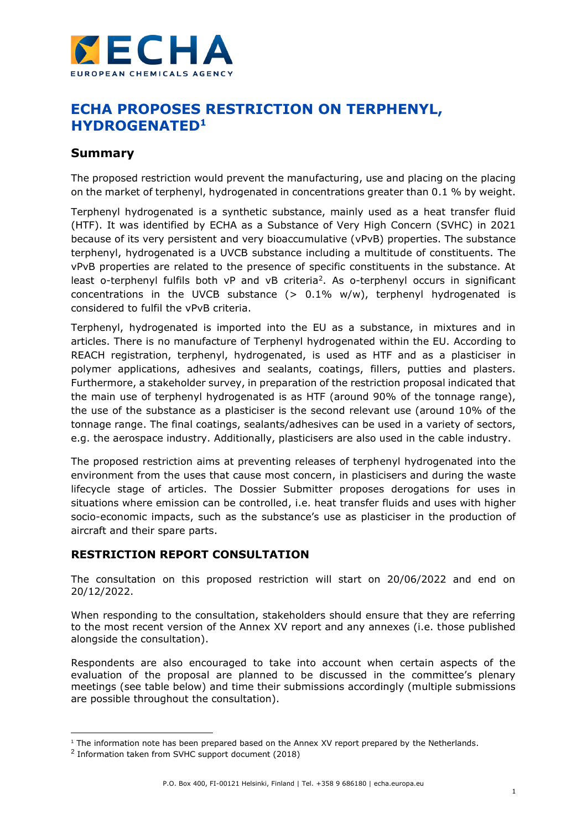

# **ECHA PROPOSES RESTRICTION ON TERPHENYL, HYDROGENATED<sup>1</sup>**

## **Summary**

The proposed restriction would prevent the manufacturing, use and placing on the placing on the market of terphenyl, hydrogenated in concentrations greater than 0.1 % by weight.

Terphenyl hydrogenated is a synthetic substance, mainly used as a heat transfer fluid (HTF). It was identified by ECHA as a Substance of Very High Concern (SVHC) in 2021 because of its very persistent and very bioaccumulative (vPvB) properties. The substance terphenyl, hydrogenated is a UVCB substance including a multitude of constituents. The vPvB properties are related to the presence of specific constituents in the substance. At least o-terphenyl fulfils both vP and vB criteria<sup>2</sup>. As o-terphenyl occurs in significant concentrations in the UVCB substance  $(> 0.1\%$  w/w), terphenyl hydrogenated is considered to fulfil the vPvB criteria.

Terphenyl, hydrogenated is imported into the EU as a substance, in mixtures and in articles. There is no manufacture of Terphenyl hydrogenated within the EU. According to REACH registration, terphenyl, hydrogenated, is used as HTF and as a plasticiser in polymer applications, adhesives and sealants, coatings, fillers, putties and plasters. Furthermore, a stakeholder survey, in preparation of the restriction proposal indicated that the main use of terphenyl hydrogenated is as HTF (around 90% of the tonnage range), the use of the substance as a plasticiser is the second relevant use (around 10% of the tonnage range. The final coatings, sealants/adhesives can be used in a variety of sectors, e.g. the aerospace industry. Additionally, plasticisers are also used in the cable industry.

The proposed restriction aims at preventing releases of terphenyl hydrogenated into the environment from the uses that cause most concern, in plasticisers and during the waste lifecycle stage of articles. The Dossier Submitter proposes derogations for uses in situations where emission can be controlled, i.e. heat transfer fluids and uses with higher socio-economic impacts, such as the substance's use as plasticiser in the production of aircraft and their spare parts.

### **RESTRICTION REPORT CONSULTATION**

The consultation on this proposed restriction will start on 20/06/2022 and end on 20/12/2022.

When responding to the consultation, stakeholders should ensure that they are referring to the most recent version of the Annex XV report and any annexes (i.e. those published alongside the consultation).

Respondents are also encouraged to take into account when certain aspects of the evaluation of the proposal are planned to be discussed in the committee's plenary meetings (see table below) and time their submissions accordingly (multiple submissions are possible throughout the consultation).

<sup>1</sup> The information note has been prepared based on the Annex XV report prepared by the Netherlands.

<sup>&</sup>lt;sup>2</sup> Information taken from SVHC support document (2018)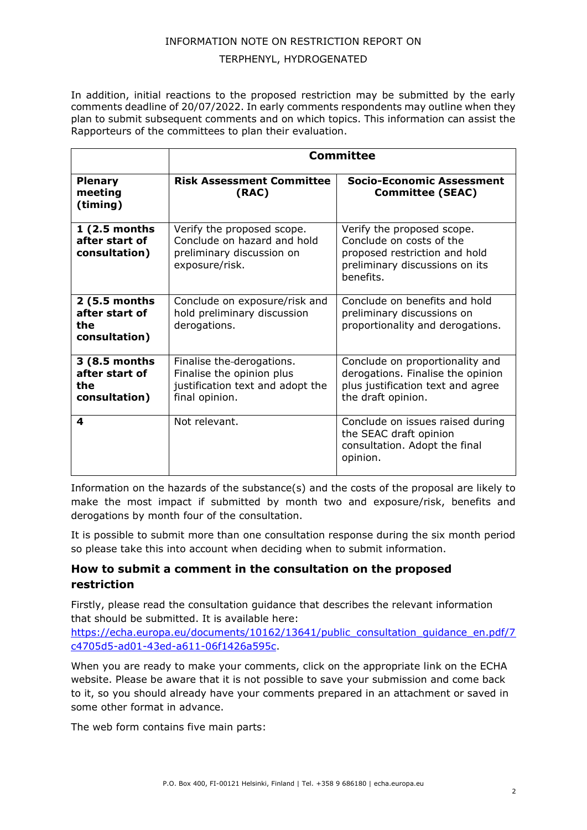### INFORMATION NOTE ON RESTRICTION REPORT ON

#### TERPHENYL, HYDROGENATED

In addition, initial reactions to the proposed restriction may be submitted by the early comments deadline of 20/07/2022. In early comments respondents may outline when they plan to submit subsequent comments and on which topics. This information can assist the Rapporteurs of the committees to plan their evaluation.

|                                                         | Committee                                                                                                    |                                                                                                                                        |
|---------------------------------------------------------|--------------------------------------------------------------------------------------------------------------|----------------------------------------------------------------------------------------------------------------------------------------|
| <b>Plenary</b><br>meeting<br>(timing)                   | <b>Risk Assessment Committee</b><br>(RAC)                                                                    | <b>Socio-Economic Assessment</b><br><b>Committee (SEAC)</b>                                                                            |
| 1 (2.5 months<br>after start of<br>consultation)        | Verify the proposed scope.<br>Conclude on hazard and hold<br>preliminary discussion on<br>exposure/risk.     | Verify the proposed scope.<br>Conclude on costs of the<br>proposed restriction and hold<br>preliminary discussions on its<br>benefits. |
| 2 (5.5 months<br>after start of<br>the<br>consultation) | Conclude on exposure/risk and<br>hold preliminary discussion<br>derogations.                                 | Conclude on benefits and hold<br>preliminary discussions on<br>proportionality and derogations.                                        |
| 3 (8.5 months<br>after start of<br>the<br>consultation) | Finalise the-derogations.<br>Finalise the opinion plus<br>justification text and adopt the<br>final opinion. | Conclude on proportionality and<br>derogations. Finalise the opinion<br>plus justification text and agree<br>the draft opinion.        |
| 4                                                       | Not relevant.                                                                                                | Conclude on issues raised during<br>the SEAC draft opinion<br>consultation. Adopt the final<br>opinion.                                |

Information on the hazards of the substance(s) and the costs of the proposal are likely to make the most impact if submitted by month two and exposure/risk, benefits and derogations by month four of the consultation.

It is possible to submit more than one consultation response during the six month period so please take this into account when deciding when to submit information.

### **How to submit a comment in the consultation on the proposed restriction**

Firstly, please read the consultation guidance that describes the relevant information that should be submitted. It is available here:

[https://echa.europa.eu/documents/10162/13641/public\\_consultation\\_guidance\\_en.pdf/7](https://echa.europa.eu/documents/10162/13641/public_consultation_guidance_en.pdf/7c4705d5-ad01-43ed-a611-06f1426a595c) [c4705d5-ad01-43ed-a611-06f1426a595c.](https://echa.europa.eu/documents/10162/13641/public_consultation_guidance_en.pdf/7c4705d5-ad01-43ed-a611-06f1426a595c)

When you are ready to make your comments, click on the appropriate link on the ECHA website. Please be aware that it is not possible to save your submission and come back to it, so you should already have your comments prepared in an attachment or saved in some other format in advance.

The web form contains five main parts: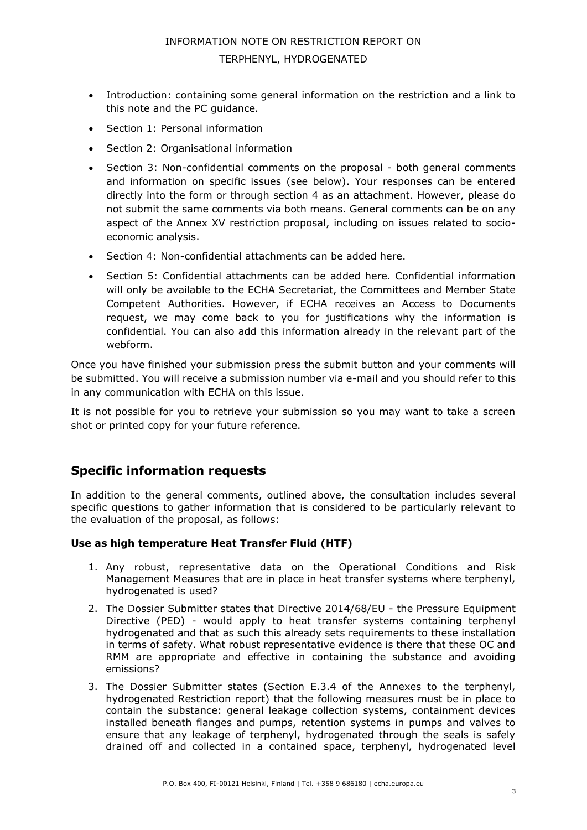# INFORMATION NOTE ON RESTRICTION REPORT ON TERPHENYL, HYDROGENATED

- Introduction: containing some general information on the restriction and a link to this note and the PC guidance.
- Section 1: Personal information
- Section 2: Organisational information
- Section 3: Non-confidential comments on the proposal both general comments and information on specific issues (see below). Your responses can be entered directly into the form or through section 4 as an attachment. However, please do not submit the same comments via both means. General comments can be on any aspect of the Annex XV restriction proposal, including on issues related to socioeconomic analysis.
- Section 4: Non-confidential attachments can be added here.
- Section 5: Confidential attachments can be added here. Confidential information will only be available to the ECHA Secretariat, the Committees and Member State Competent Authorities. However, if ECHA receives an Access to Documents request, we may come back to you for justifications why the information is confidential. You can also add this information already in the relevant part of the webform.

Once you have finished your submission press the submit button and your comments will be submitted. You will receive a submission number via e-mail and you should refer to this in any communication with ECHA on this issue.

It is not possible for you to retrieve your submission so you may want to take a screen shot or printed copy for your future reference.

# **Specific information requests**

In addition to the general comments, outlined above, the consultation includes several specific questions to gather information that is considered to be particularly relevant to the evaluation of the proposal, as follows:

### **Use as high temperature Heat Transfer Fluid (HTF)**

- 1. Any robust, representative data on the Operational Conditions and Risk Management Measures that are in place in heat transfer systems where terphenyl, hydrogenated is used?
- 2. The Dossier Submitter states that Directive 2014/68/EU the Pressure Equipment Directive (PED) - would apply to heat transfer systems containing terphenyl hydrogenated and that as such this already sets requirements to these installation in terms of safety. What robust representative evidence is there that these OC and RMM are appropriate and effective in containing the substance and avoiding emissions?
- 3. The Dossier Submitter states (Section E.3.4 of the Annexes to the terphenyl, hydrogenated Restriction report) that the following measures must be in place to contain the substance: general leakage collection systems, containment devices installed beneath flanges and pumps, retention systems in pumps and valves to ensure that any leakage of terphenyl, hydrogenated through the seals is safely drained off and collected in a contained space, terphenyl, hydrogenated level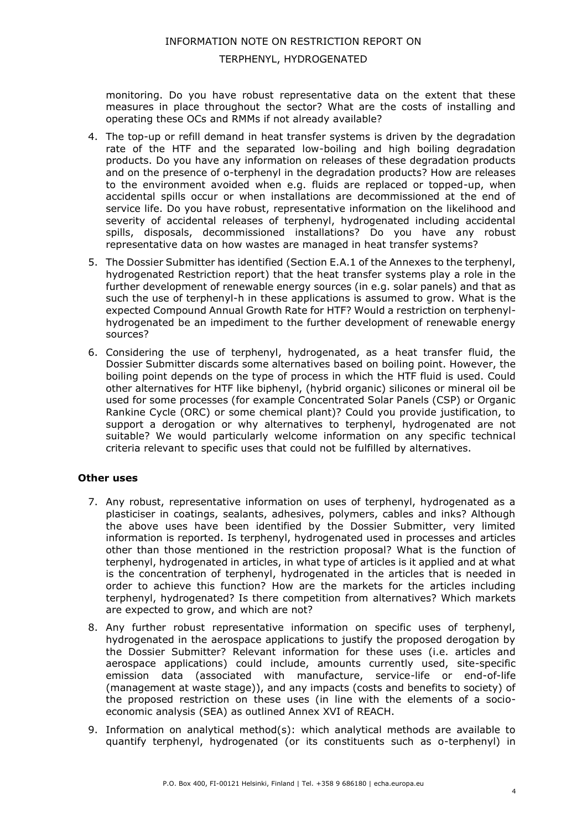INFORMATION NOTE ON RESTRICTION REPORT ON

### TERPHENYL, HYDROGENATED

monitoring. Do you have robust representative data on the extent that these measures in place throughout the sector? What are the costs of installing and operating these OCs and RMMs if not already available?

- 4. The top-up or refill demand in heat transfer systems is driven by the degradation rate of the HTF and the separated low-boiling and high boiling degradation products. Do you have any information on releases of these degradation products and on the presence of o-terphenyl in the degradation products? How are releases to the environment avoided when e.g. fluids are replaced or topped-up, when accidental spills occur or when installations are decommissioned at the end of service life. Do you have robust, representative information on the likelihood and severity of accidental releases of terphenyl, hydrogenated including accidental spills, disposals, decommissioned installations? Do you have any robust representative data on how wastes are managed in heat transfer systems?
- 5. The Dossier Submitter has identified (Section E.A.1 of the Annexes to the terphenyl, hydrogenated Restriction report) that the heat transfer systems play a role in the further development of renewable energy sources (in e.g. solar panels) and that as such the use of terphenyl-h in these applications is assumed to grow. What is the expected Compound Annual Growth Rate for HTF? Would a restriction on terphenylhydrogenated be an impediment to the further development of renewable energy sources?
- 6. Considering the use of terphenyl, hydrogenated, as a heat transfer fluid, the Dossier Submitter discards some alternatives based on boiling point. However, the boiling point depends on the type of process in which the HTF fluid is used. Could other alternatives for HTF like biphenyl, (hybrid organic) silicones or mineral oil be used for some processes (for example Concentrated Solar Panels (CSP) or Organic Rankine Cycle (ORC) or some chemical plant)? Could you provide justification, to support a derogation or why alternatives to terphenyl, hydrogenated are not suitable? We would particularly welcome information on any specific technical criteria relevant to specific uses that could not be fulfilled by alternatives.

#### **Other uses**

- 7. Any robust, representative information on uses of terphenyl, hydrogenated as a plasticiser in coatings, sealants, adhesives, polymers, cables and inks? Although the above uses have been identified by the Dossier Submitter, very limited information is reported. Is terphenyl, hydrogenated used in processes and articles other than those mentioned in the restriction proposal? What is the function of terphenyl, hydrogenated in articles, in what type of articles is it applied and at what is the concentration of terphenyl, hydrogenated in the articles that is needed in order to achieve this function? How are the markets for the articles including terphenyl, hydrogenated? Is there competition from alternatives? Which markets are expected to grow, and which are not?
- 8. Any further robust representative information on specific uses of terphenyl, hydrogenated in the aerospace applications to justify the proposed derogation by the Dossier Submitter? Relevant information for these uses (i.e. articles and aerospace applications) could include, amounts currently used, site-specific emission data (associated with manufacture, service-life or end-of-life (management at waste stage)), and any impacts (costs and benefits to society) of the proposed restriction on these uses (in line with the elements of a socioeconomic analysis (SEA) as outlined Annex XVI of REACH.
- 9. Information on analytical method(s): which analytical methods are available to quantify terphenyl, hydrogenated (or its constituents such as o-terphenyl) in